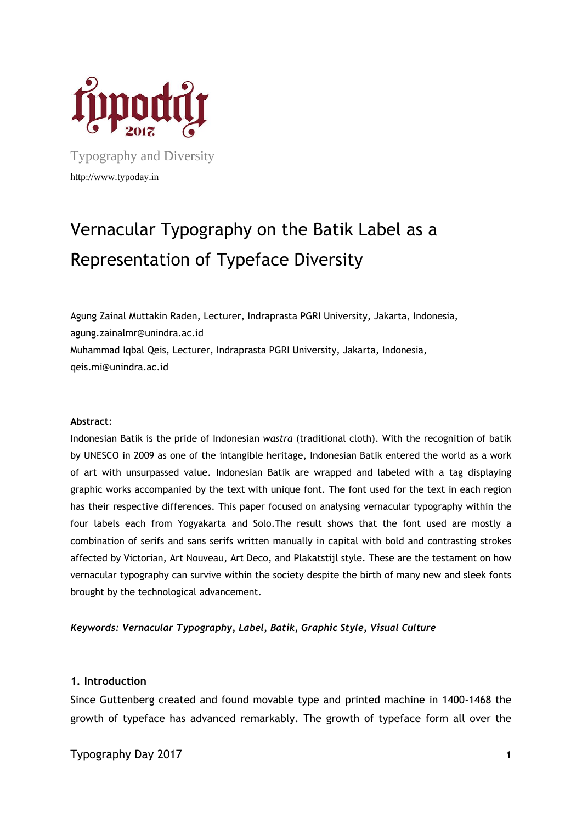

Typography and Diversity http://www.typoday.in

# Vernacular Typography on the Batik Label as a Representation of Typeface Diversity

Agung Zainal Muttakin Raden, Lecturer, Indraprasta PGRI University, Jakarta, Indonesia, agung.zainalmr@unindra.ac.id Muhammad Iqbal Qeis, Lecturer, Indraprasta PGRI University, Jakarta, Indonesia, qeis.mi@unindra.ac.id

#### **Abstract**:

Indonesian Batik is the pride of Indonesian *wastra* (traditional cloth). With the recognition of batik by UNESCO in 2009 as one of the intangible heritage, Indonesian Batik entered the world as a work of art with unsurpassed value. Indonesian Batik are wrapped and labeled with a tag displaying graphic works accompanied by the text with unique font. The font used for the text in each region has their respective differences. This paper focused on analysing vernacular typography within the four labels each from Yogyakarta and Solo.The result shows that the font used are mostly a combination of serifs and sans serifs written manually in capital with bold and contrasting strokes affected by Victorian, Art Nouveau, Art Deco, and Plakatstijl style. These are the testament on how vernacular typography can survive within the society despite the birth of many new and sleek fonts brought by the technological advancement.

### *Keywords: Vernacular Typography, Label, Batik, Graphic Style, Visual Culture*

#### **1. Introduction**

Since Guttenberg created and found movable type and printed machine in 1400-1468 the growth of typeface has advanced remarkably. The growth of typeface form all over the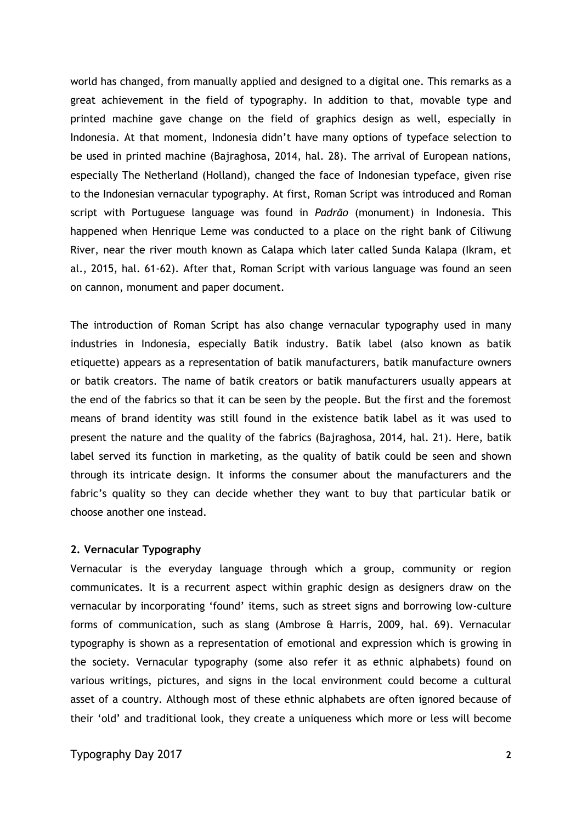world has changed, from manually applied and designed to a digital one. This remarks as a great achievement in the field of typography. In addition to that, movable type and printed machine gave change on the field of graphics design as well, especially in Indonesia. At that moment, Indonesia didn't have many options of typeface selection to be used in printed machine (Bajraghosa, 2014, hal. 28). The arrival of European nations, especially The Netherland (Holland), changed the face of Indonesian typeface, given rise to the Indonesian vernacular typography. At first, Roman Script was introduced and Roman script with Portuguese language was found in *Padrão* (monument) in Indonesia. This happened when Henrique Leme was conducted to a place on the right bank of Ciliwung River, near the river mouth known as Calapa which later called Sunda Kalapa (Ikram, et al., 2015, hal. 61-62). After that, Roman Script with various language was found an seen on cannon, monument and paper document.

The introduction of Roman Script has also change vernacular typography used in many industries in Indonesia, especially Batik industry. Batik label (also known as batik etiquette) appears as a representation of batik manufacturers, batik manufacture owners or batik creators. The name of batik creators or batik manufacturers usually appears at the end of the fabrics so that it can be seen by the people. But the first and the foremost means of brand identity was still found in the existence batik label as it was used to present the nature and the quality of the fabrics (Bajraghosa, 2014, hal. 21). Here, batik label served its function in marketing, as the quality of batik could be seen and shown through its intricate design. It informs the consumer about the manufacturers and the fabric's quality so they can decide whether they want to buy that particular batik or choose another one instead.

### **2. Vernacular Typography**

Vernacular is the everyday language through which a group, community or region communicates. It is a recurrent aspect within graphic design as designers draw on the vernacular by incorporating 'found' items, such as street signs and borrowing low-culture forms of communication, such as slang (Ambrose & Harris, 2009, hal. 69). Vernacular typography is shown as a representation of emotional and expression which is growing in the society. Vernacular typography (some also refer it as ethnic alphabets) found on various writings, pictures, and signs in the local environment could become a cultural asset of a country. Although most of these ethnic alphabets are often ignored because of their 'old' and traditional look, they create a uniqueness which more or less will become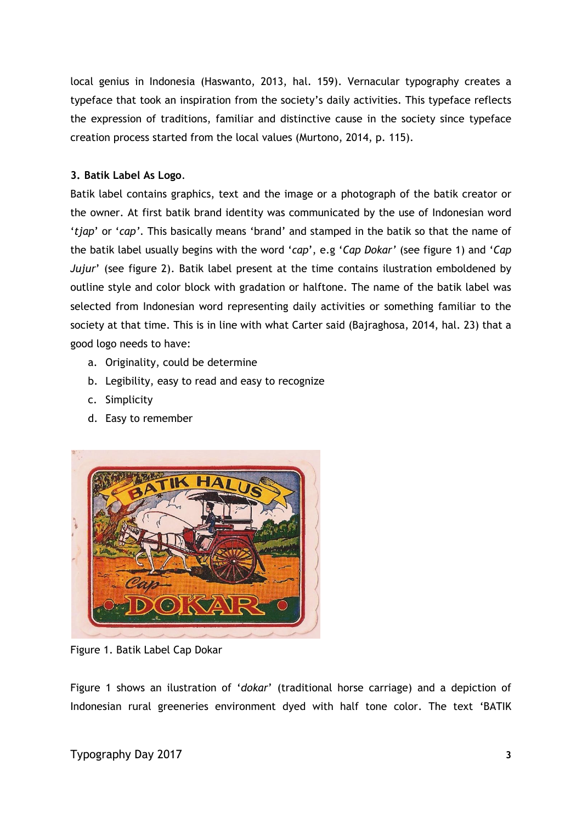local genius in Indonesia (Haswanto, 2013, hal. 159). Vernacular typography creates a typeface that took an inspiration from the society's daily activities. This typeface reflects the expression of traditions, familiar and distinctive cause in the society since typeface creation process started from the local values (Murtono, 2014, p. 115).

# **3. Batik Label As Logo**.

Batik label contains graphics, text and the image or a photograph of the batik creator or the owner. At first batik brand identity was communicated by the use of Indonesian word '*tjap*' or '*cap'*. This basically means 'brand' and stamped in the batik so that the name of the batik label usually begins with the word '*cap*', e.g '*Cap Dokar'* (see figure 1) and '*Cap Jujur*' (see figure 2). Batik label present at the time contains ilustration emboldened by outline style and color block with gradation or halftone. The name of the batik label was selected from Indonesian word representing daily activities or something familiar to the society at that time. This is in line with what Carter said (Bajraghosa, 2014, hal. 23) that a good logo needs to have:

- a. Originality, could be determine
- b. Legibility, easy to read and easy to recognize
- c. Simplicity
- d. Easy to remember



Figure 1. Batik Label Cap Dokar

Figure 1 shows an ilustration of '*dokar*' (traditional horse carriage) and a depiction of Indonesian rural greeneries environment dyed with half tone color. The text 'BATIK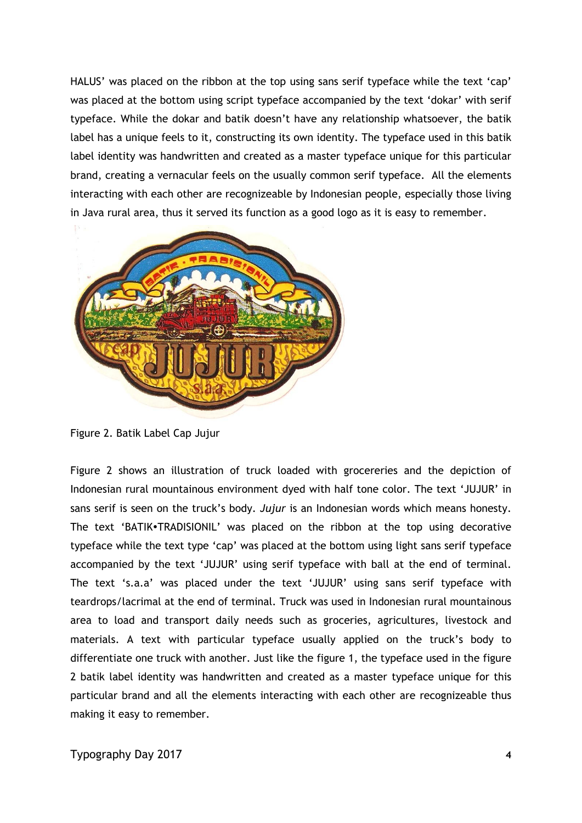HALUS' was placed on the ribbon at the top using sans serif typeface while the text 'cap' was placed at the bottom using script typeface accompanied by the text 'dokar' with serif typeface. While the dokar and batik doesn't have any relationship whatsoever, the batik label has a unique feels to it, constructing its own identity. The typeface used in this batik label identity was handwritten and created as a master typeface unique for this particular brand, creating a vernacular feels on the usually common serif typeface. All the elements interacting with each other are recognizeable by Indonesian people, especially those living in Java rural area, thus it served its function as a good logo as it is easy to remember.



Figure 2. Batik Label Cap Jujur

Figure 2 shows an illustration of truck loaded with grocereries and the depiction of Indonesian rural mountainous environment dyed with half tone color. The text 'JUJUR' in sans serif is seen on the truck's body. *Jujur* is an Indonesian words which means honesty. The text 'BATIK.TRADISIONIL' was placed on the ribbon at the top using decorative typeface while the text type 'cap' was placed at the bottom using light sans serif typeface accompanied by the text 'JUJUR' using serif typeface with ball at the end of terminal. The text 's.a.a' was placed under the text 'JUJUR' using sans serif typeface with teardrops/lacrimal at the end of terminal. Truck was used in Indonesian rural mountainous area to load and transport daily needs such as groceries, agricultures, livestock and materials. A text with particular typeface usually applied on the truck's body to differentiate one truck with another. Just like the figure 1, the typeface used in the figure 2 batik label identity was handwritten and created as a master typeface unique for this particular brand and all the elements interacting with each other are recognizeable thus making it easy to remember.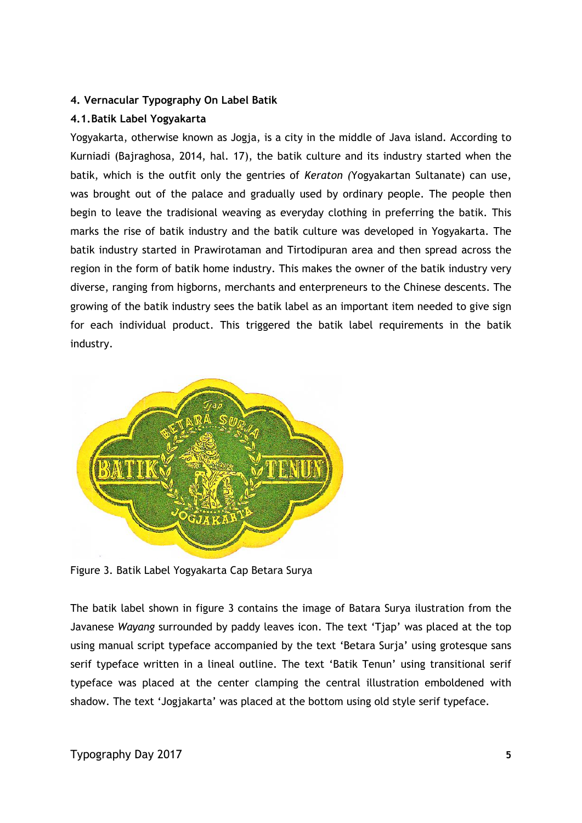# **4. Vernacular Typography On Label Batik**

# **4.1.Batik Label Yogyakarta**

Yogyakarta, otherwise known as Jogja, is a city in the middle of Java island. According to Kurniadi (Bajraghosa, 2014, hal. 17), the batik culture and its industry started when the batik, which is the outfit only the gentries of *Keraton (*Yogyakartan Sultanate) can use, was brought out of the palace and gradually used by ordinary people. The people then begin to leave the tradisional weaving as everyday clothing in preferring the batik. This marks the rise of batik industry and the batik culture was developed in Yogyakarta. The batik industry started in Prawirotaman and Tirtodipuran area and then spread across the region in the form of batik home industry. This makes the owner of the batik industry very diverse, ranging from higborns, merchants and enterpreneurs to the Chinese descents. The growing of the batik industry sees the batik label as an important item needed to give sign for each individual product. This triggered the batik label requirements in the batik industry.



Figure 3. Batik Label Yogyakarta Cap Betara Surya

The batik label shown in figure 3 contains the image of Batara Surya ilustration from the Javanese *Wayang* surrounded by paddy leaves icon. The text 'Tjap' was placed at the top using manual script typeface accompanied by the text 'Betara Surja' using grotesque sans serif typeface written in a lineal outline. The text 'Batik Tenun' using transitional serif typeface was placed at the center clamping the central illustration emboldened with shadow. The text 'Jogjakarta' was placed at the bottom using old style serif typeface.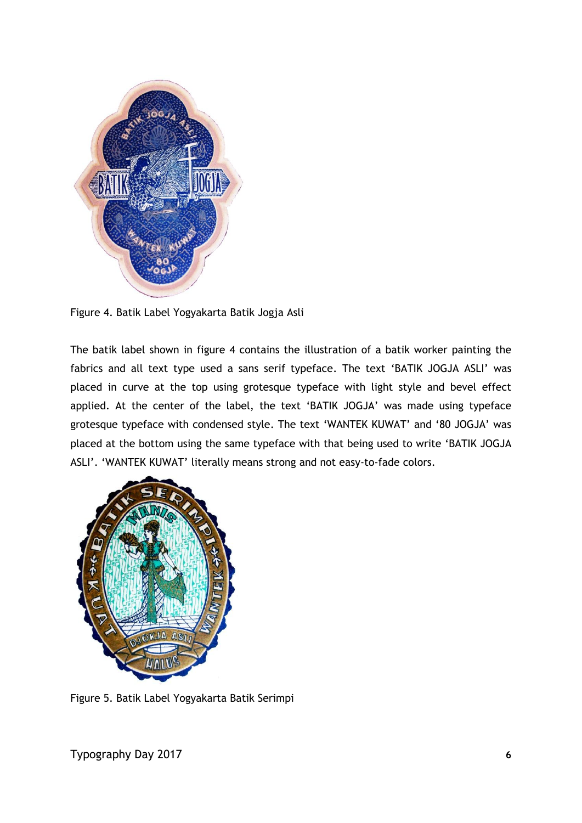

Figure 4. Batik Label Yogyakarta Batik Jogja Asli

The batik label shown in figure 4 contains the illustration of a batik worker painting the fabrics and all text type used a sans serif typeface. The text 'BATIK JOGJA ASLI' was placed in curve at the top using grotesque typeface with light style and bevel effect applied. At the center of the label, the text 'BATIK JOGJA' was made using typeface grotesque typeface with condensed style. The text 'WANTEK KUWAT' and '80 JOGJA' was placed at the bottom using the same typeface with that being used to write 'BATIK JOGJA ASLI'. 'WANTEK KUWAT' literally means strong and not easy-to-fade colors.



Figure 5. Batik Label Yogyakarta Batik Serimpi

Typography Day 2017 **6**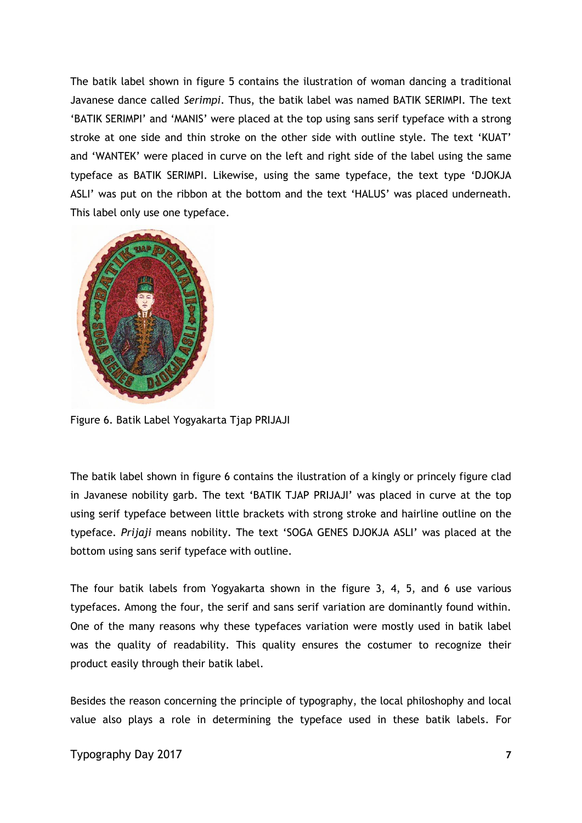The batik label shown in figure 5 contains the ilustration of woman dancing a traditional Javanese dance called *Serimpi*. Thus, the batik label was named BATIK SERIMPI. The text 'BATIK SERIMPI' and 'MANIS' were placed at the top using sans serif typeface with a strong stroke at one side and thin stroke on the other side with outline style. The text 'KUAT' and 'WANTEK' were placed in curve on the left and right side of the label using the same typeface as BATIK SERIMPI. Likewise, using the same typeface, the text type 'DJOKJA ASLI' was put on the ribbon at the bottom and the text 'HALUS' was placed underneath. This label only use one typeface.



Figure 6. Batik Label Yogyakarta Tjap PRIJAJI

The batik label shown in figure 6 contains the ilustration of a kingly or princely figure clad in Javanese nobility garb. The text 'BATIK TJAP PRIJAJI' was placed in curve at the top using serif typeface between little brackets with strong stroke and hairline outline on the typeface. *Prijaji* means nobility. The text 'SOGA GENES DJOKJA ASLI' was placed at the bottom using sans serif typeface with outline.

The four batik labels from Yogyakarta shown in the figure 3, 4, 5, and 6 use various typefaces. Among the four, the serif and sans serif variation are dominantly found within. One of the many reasons why these typefaces variation were mostly used in batik label was the quality of readability. This quality ensures the costumer to recognize their product easily through their batik label.

Besides the reason concerning the principle of typography, the local philoshophy and local value also plays a role in determining the typeface used in these batik labels. For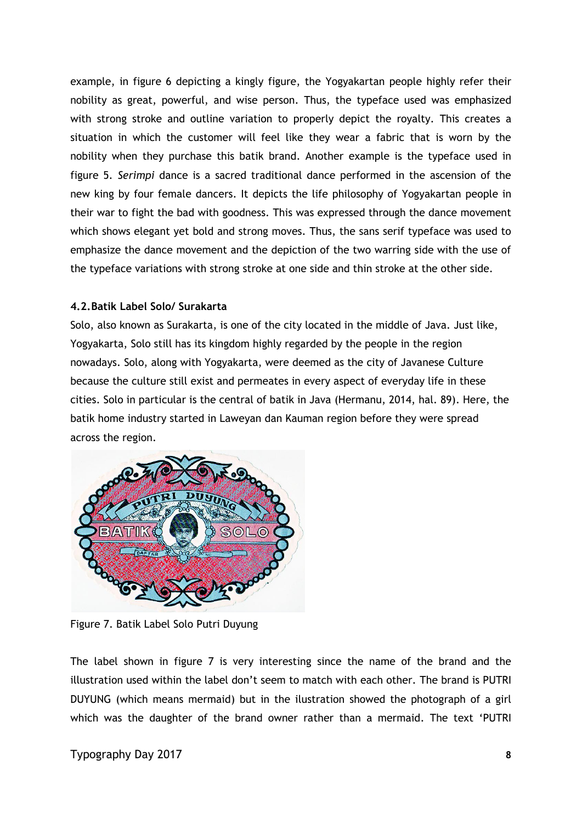example, in figure 6 depicting a kingly figure, the Yogyakartan people highly refer their nobility as great, powerful, and wise person. Thus, the typeface used was emphasized with strong stroke and outline variation to properly depict the royalty. This creates a situation in which the customer will feel like they wear a fabric that is worn by the nobility when they purchase this batik brand. Another example is the typeface used in figure 5. *Serimpi* dance is a sacred traditional dance performed in the ascension of the new king by four female dancers. It depicts the life philosophy of Yogyakartan people in their war to fight the bad with goodness. This was expressed through the dance movement which shows elegant yet bold and strong moves. Thus, the sans serif typeface was used to emphasize the dance movement and the depiction of the two warring side with the use of the typeface variations with strong stroke at one side and thin stroke at the other side.

### **4.2.Batik Label Solo/ Surakarta**

Solo, also known as Surakarta, is one of the city located in the middle of Java. Just like, Yogyakarta, Solo still has its kingdom highly regarded by the people in the region nowadays. Solo, along with Yogyakarta, were deemed as the city of Javanese Culture because the culture still exist and permeates in every aspect of everyday life in these cities. Solo in particular is the central of batik in Java (Hermanu, 2014, hal. 89). Here, the batik home industry started in Laweyan dan Kauman region before they were spread across the region.



Figure 7. Batik Label Solo Putri Duyung

The label shown in figure 7 is very interesting since the name of the brand and the illustration used within the label don't seem to match with each other. The brand is PUTRI DUYUNG (which means mermaid) but in the ilustration showed the photograph of a girl which was the daughter of the brand owner rather than a mermaid. The text 'PUTRI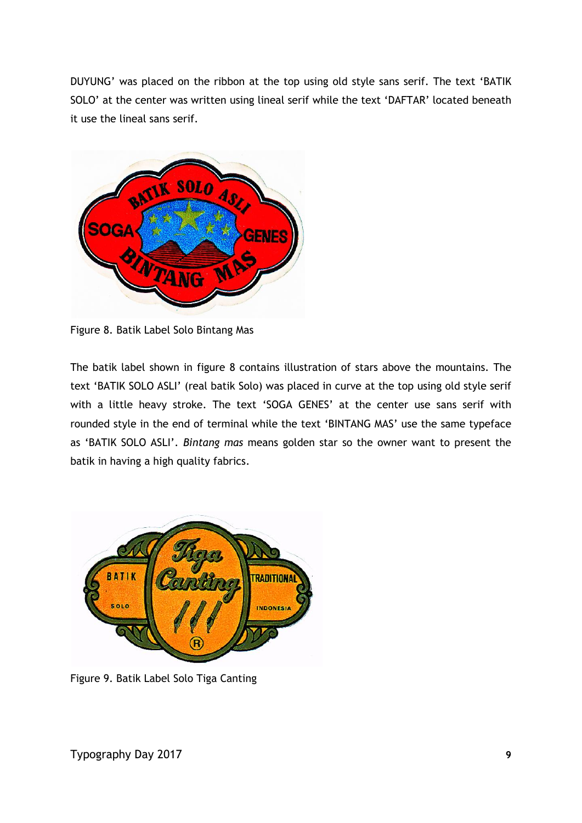DUYUNG' was placed on the ribbon at the top using old style sans serif. The text 'BATIK SOLO' at the center was written using lineal serif while the text 'DAFTAR' located beneath it use the lineal sans serif.



Figure 8. Batik Label Solo Bintang Mas

The batik label shown in figure 8 contains illustration of stars above the mountains. The text 'BATIK SOLO ASLI' (real batik Solo) was placed in curve at the top using old style serif with a little heavy stroke. The text 'SOGA GENES' at the center use sans serif with rounded style in the end of terminal while the text 'BINTANG MAS' use the same typeface as 'BATIK SOLO ASLI'. *Bintang mas* means golden star so the owner want to present the batik in having a high quality fabrics.



Figure 9. Batik Label Solo Tiga Canting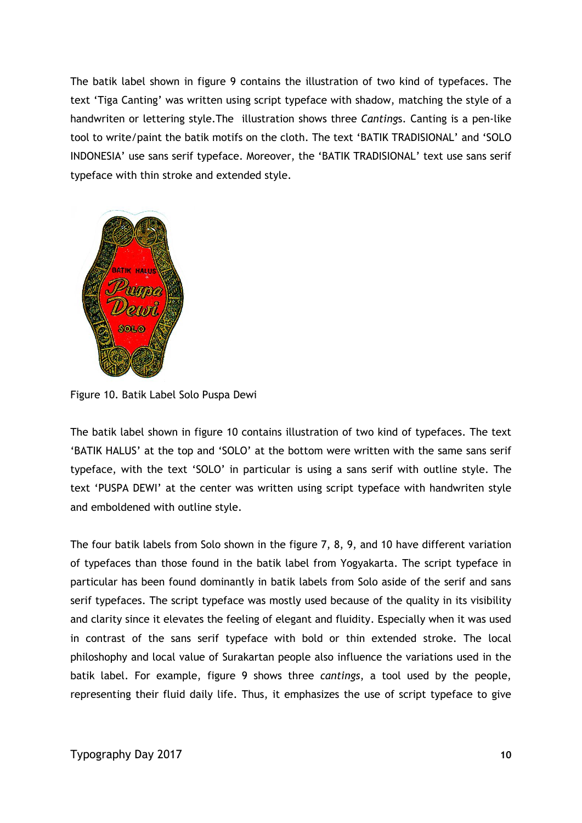The batik label shown in figure 9 contains the illustration of two kind of typefaces. The text 'Tiga Canting' was written using script typeface with shadow, matching the style of a handwriten or lettering style.The illustration shows three *Canting*s. Canting is a pen-like tool to write/paint the batik motifs on the cloth. The text 'BATIK TRADISIONAL' and 'SOLO INDONESIA' use sans serif typeface. Moreover, the 'BATIK TRADISIONAL' text use sans serif typeface with thin stroke and extended style.



Figure 10. Batik Label Solo Puspa Dewi

The batik label shown in figure 10 contains illustration of two kind of typefaces. The text 'BATIK HALUS' at the top and 'SOLO' at the bottom were written with the same sans serif typeface, with the text 'SOLO' in particular is using a sans serif with outline style. The text 'PUSPA DEWI' at the center was written using script typeface with handwriten style and emboldened with outline style.

The four batik labels from Solo shown in the figure 7, 8, 9, and 10 have different variation of typefaces than those found in the batik label from Yogyakarta. The script typeface in particular has been found dominantly in batik labels from Solo aside of the serif and sans serif typefaces. The script typeface was mostly used because of the quality in its visibility and clarity since it elevates the feeling of elegant and fluidity. Especially when it was used in contrast of the sans serif typeface with bold or thin extended stroke. The local philoshophy and local value of Surakartan people also influence the variations used in the batik label. For example, figure 9 shows three *cantings*, a tool used by the people, representing their fluid daily life. Thus, it emphasizes the use of script typeface to give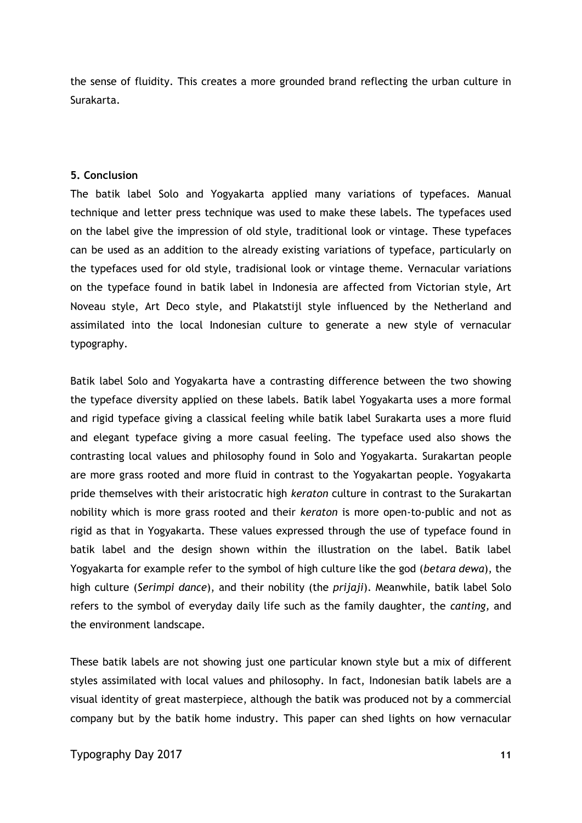the sense of fluidity. This creates a more grounded brand reflecting the urban culture in Surakarta.

#### **5. Conclusion**

The batik label Solo and Yogyakarta applied many variations of typefaces. Manual technique and letter press technique was used to make these labels. The typefaces used on the label give the impression of old style, traditional look or vintage. These typefaces can be used as an addition to the already existing variations of typeface, particularly on the typefaces used for old style, tradisional look or vintage theme. Vernacular variations on the typeface found in batik label in Indonesia are affected from Victorian style, Art Noveau style, Art Deco style, and Plakatstijl style influenced by the Netherland and assimilated into the local Indonesian culture to generate a new style of vernacular typography.

Batik label Solo and Yogyakarta have a contrasting difference between the two showing the typeface diversity applied on these labels. Batik label Yogyakarta uses a more formal and rigid typeface giving a classical feeling while batik label Surakarta uses a more fluid and elegant typeface giving a more casual feeling. The typeface used also shows the contrasting local values and philosophy found in Solo and Yogyakarta. Surakartan people are more grass rooted and more fluid in contrast to the Yogyakartan people. Yogyakarta pride themselves with their aristocratic high *keraton* culture in contrast to the Surakartan nobility which is more grass rooted and their *keraton* is more open-to-public and not as rigid as that in Yogyakarta. These values expressed through the use of typeface found in batik label and the design shown within the illustration on the label. Batik label Yogyakarta for example refer to the symbol of high culture like the god (*betara dewa*), the high culture (*Serimpi dance*), and their nobility (the *prijaji*). Meanwhile, batik label Solo refers to the symbol of everyday daily life such as the family daughter, the *canting,* and the environment landscape.

These batik labels are not showing just one particular known style but a mix of different styles assimilated with local values and philosophy. In fact, Indonesian batik labels are a visual identity of great masterpiece, although the batik was produced not by a commercial company but by the batik home industry. This paper can shed lights on how vernacular